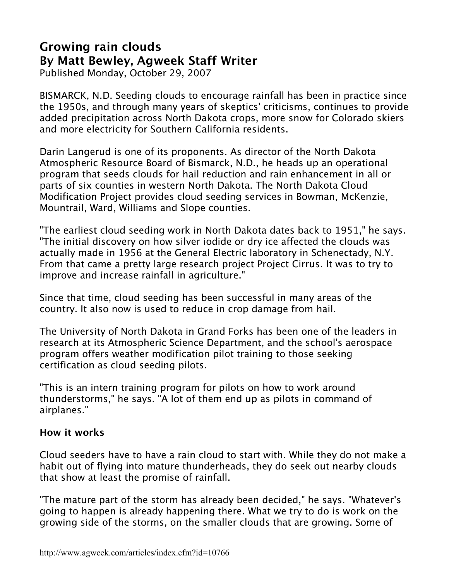## **Growing rain clouds By Matt Bewley, Agweek Staff Writer**

Published Monday, October 29, 2007

BISMARCK, N.D. Seeding clouds to encourage rainfall has been in practice since the 1950s, and through many years of skeptics' criticisms, continues to provide added precipitation across North Dakota crops, more snow for Colorado skiers and more electricity for Southern California residents.

Darin Langerud is one of its proponents. As director of the North Dakota Atmospheric Resource Board of Bismarck, N.D., he heads up an operational program that seeds clouds for hail reduction and rain enhancement in all or parts of six counties in western North Dakota. The North Dakota Cloud Modification Project provides cloud seeding services in Bowman, McKenzie, Mountrail, Ward, Williams and Slope counties.

"The earliest cloud seeding work in North Dakota dates back to 1951," he says. "The initial discovery on how silver iodide or dry ice affected the clouds was actually made in 1956 at the General Electric laboratory in Schenectady, N.Y. From that came a pretty large research project Project Cirrus. It was to try to improve and increase rainfall in agriculture."

Since that time, cloud seeding has been successful in many areas of the country. It also now is used to reduce in crop damage from hail.

The University of North Dakota in Grand Forks has been one of the leaders in research at its Atmospheric Science Department, and the school's aerospace program offers weather modification pilot training to those seeking certification as cloud seeding pilots.

"This is an intern training program for pilots on how to work around thunderstorms," he says. "A lot of them end up as pilots in command of airplanes."

## **How it works**

Cloud seeders have to have a rain cloud to start with. While they do not make a habit out of flying into mature thunderheads, they do seek out nearby clouds that show at least the promise of rainfall.

"The mature part of the storm has already been decided," he says. "Whatever's going to happen is already happening there. What we try to do is work on the growing side of the storms, on the smaller clouds that are growing. Some of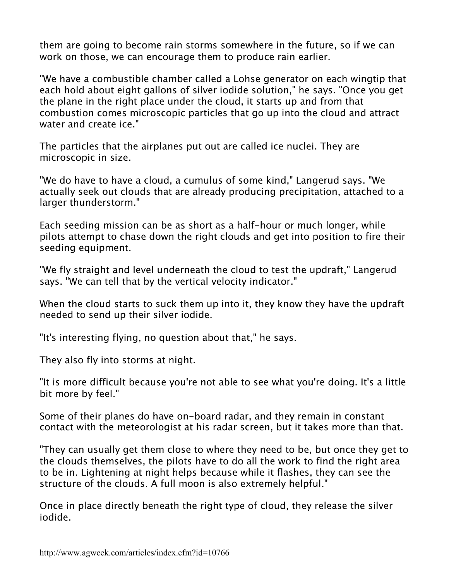them are going to become rain storms somewhere in the future, so if we can work on those, we can encourage them to produce rain earlier.

"We have a combustible chamber called a Lohse generator on each wingtip that each hold about eight gallons of silver iodide solution," he says. "Once you get the plane in the right place under the cloud, it starts up and from that combustion comes microscopic particles that go up into the cloud and attract water and create ice."

The particles that the airplanes put out are called ice nuclei. They are microscopic in size.

"We do have to have a cloud, a cumulus of some kind," Langerud says. "We actually seek out clouds that are already producing precipitation, attached to a larger thunderstorm."

Each seeding mission can be as short as a half-hour or much longer, while pilots attempt to chase down the right clouds and get into position to fire their seeding equipment.

"We fly straight and level underneath the cloud to test the updraft," Langerud says. "We can tell that by the vertical velocity indicator."

When the cloud starts to suck them up into it, they know they have the updraft needed to send up their silver iodide.

"It's interesting flying, no question about that," he says.

They also fly into storms at night.

"It is more difficult because you're not able to see what you're doing. It's a little bit more by feel."

Some of their planes do have on-board radar, and they remain in constant contact with the meteorologist at his radar screen, but it takes more than that.

"They can usually get them close to where they need to be, but once they get to the clouds themselves, the pilots have to do all the work to find the right area to be in. Lightening at night helps because while it flashes, they can see the structure of the clouds. A full moon is also extremely helpful."

Once in place directly beneath the right type of cloud, they release the silver iodide.